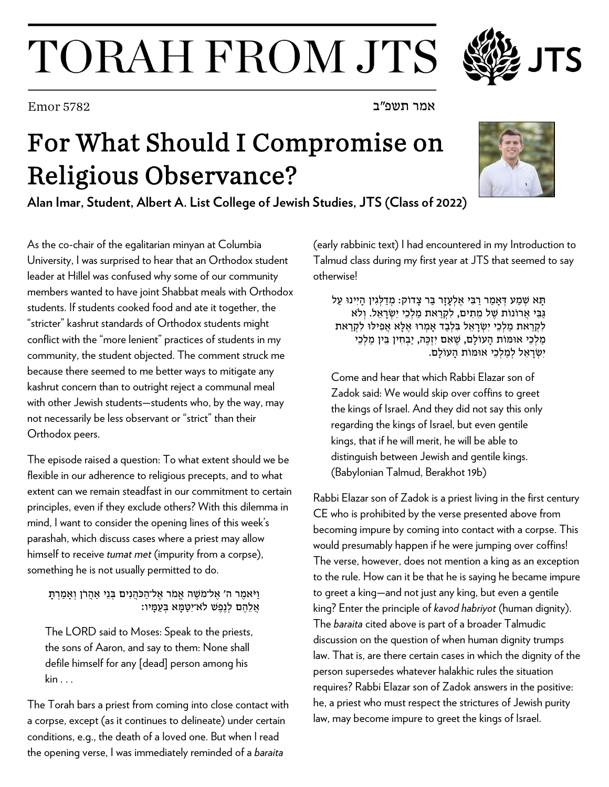## TORAH FROM JTS

## For What Should I Compromise on Religious Observance?

**Alan Imar, Student, Albert A. List College of Jewish Studies, JTS (Class of 2022)**

As the co-chair of the egalitarian minyan at Columbia University, I was surprised to hear that an Orthodox student leader at Hillel was confused why some of our community members wanted to have joint Shabbat meals with Orthodox students. If students cooked food and ate it together, the "stricter" kashrut standards of Orthodox students might conflict with the "more lenient" practices of students in my community, the student objected. The comment struck me because there seemed to me better ways to mitigate any kashrut concern than to outright reject a communal meal with other Jewish students—students who, by the way, may not necessarily be less observant or "strict" than their Orthodox peers.

The episode raised a question: To what extent should we be flexible in our adherence to religious precepts, and to what extent can we remain steadfast in our commitment to certain principles, even if they exclude others? With this dilemma in mind, I want to consider the opening lines of this week's parashah, which discuss cases where a priest may allow himself to receive *tumat met* (impurity from a corpse), something he is not usually permitted to do.

וַיֹּאמֶר ה' אֱל־מֹשֶׁה אֱמֹר אֱל־הַכֹּהֲנִים בְּנֵי אֲהֲרֹן וְאַמַרְתַ אֲלֶהֶם לְנֶפֶשׁ לֹא־יִטָּמָּא בְעָמַיו:

The LORD said to Moses: Speak to the priests, the sons of Aaron, and say to them: None shall defile himself for any [dead] person among his kin . . .

The Torah bars a priest from coming into close contact with a corpse, except (as it continues to delineate) under certain conditions, e.g., the death of a loved one. But when I read the opening verse, I was immediately reminded of a *baraita* 

(early rabbinic text) I had encountered in my Introduction to Talmud class during my first year at JTS that seemed to say otherwise!

תָּא שְׁמַע דְּאַמַר רַבִּי אֶלְעָזַר בַּר צַדוֹק: מִדַלְגִין הַיִינוּ עַל גַּבֵּי אֲרוֹנוֹת שֶׁל מֵתִים, לִקְרַאת מַלְכֵי יִשְׂרָאֵל. וְלֹא לִקְרַאת מַלְכֵי יִשְׂרַאֵל בִּלְבַד אִמְרוּ אֶלָּא אֲפִילוּ לִקְרַאת מַלְכֵי אוּמּוֹת הַעוֹלַם, שֵׁאִם יִזְכֵּה, יַבְחִין בֵּין מַלְכֵי יִשְׂ רָ אֵ ל לְמַ לְכֵי אוּמּוֹת הָ עוֹלָם.

Come and hear that which Rabbi Elazar son of Zadok said: We would skip over coffins to greet the kings of Israel. And they did not say this only regarding the kings of Israel, but even gentile kings, that if he will merit, he will be able to distinguish between Jewish and gentile kings. (Babylonian Talmud, Berakhot 19b)

Rabbi Elazar son of Zadok is a priest living in the first century CE who is prohibited by the verse presented above from becoming impure by coming into contact with a corpse. This would presumably happen if he were jumping over coffins! The verse, however, does not mention a king as an exception to the rule. How can it be that he is saying he became impure to greet a king—and not just any king, but even a gentile king? Enter the principle of *kavod habriyot* (human dignity). The *baraita* cited above is part of a broader Talmudic discussion on the question of when human dignity trumps law. That is, are there certain cases in which the dignity of the person supersedes whatever halakhic rules the situation requires? Rabbi Elazar son of Zadok answers in the positive: he, a priest who must respect the strictures of Jewish purity law, may become impure to greet the kings of Israel.





אמר תשפ"ב 5782 Emor